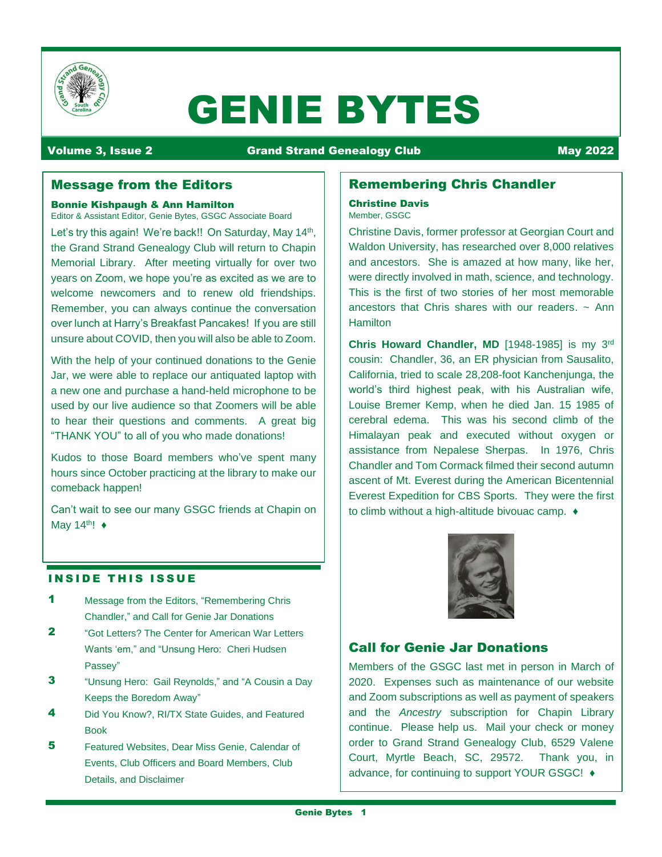

# GENIE BYTES

# Volume 3, Issue 2 **Communist Communist Communist Communist Communist Communist Communist Communist Communist Co**

# Message from the Editors

#### Bonnie Kishpaugh & Ann Hamilton Editor & Assistant Editor, Genie Bytes, GSGC Associate Board

Let's try this again! We're back!! On Saturday, May 14<sup>th</sup>, the Grand Strand Genealogy Club will return to Chapin Memorial Library. After meeting virtually for over two years on Zoom, we hope you're as excited as we are to welcome newcomers and to renew old friendships. Remember, you can always continue the conversation over lunch at Harry's Breakfast Pancakes! If you are still unsure about COVID, then you will also be able to Zoom.

With the help of your continued donations to the Genie Jar, we were able to replace our antiquated laptop with a new one and purchase a hand-held microphone to be used by our live audience so that Zoomers will be able to hear their questions and comments. A great big "THANK YOU" to all of you who made donations!

Kudos to those Board members who've spent many hours since October practicing at the library to make our comeback happen!

Can't wait to see our many GSGC friends at Chapin on May 14<sup>th</sup>!  $\triangleleft$ 

## **INSIDE THIS ISSUE**

- 1 Message from the Editors, "Remembering Chris Chandler," and Call for Genie Jar Donations
- 2 "Got Letters? The Center for American War Letters Wants 'em," and "Unsung Hero: Cheri Hudsen Passey"
- **3** "Unsung Hero: Gail Reynolds," and "A Cousin a Day Keeps the Boredom Away"
- 4 Did You Know?, RI/TX State Guides, and Featured Book
- 5 **Featured Websites, Dear Miss Genie, Calendar of** Events, Club Officers and Board Members, Club Details, and Disclaimer

# Remembering Chris Chandler

#### Christine Davis Member, GSGC

Christine Davis, former professor at Georgian Court and Waldon University, has researched over 8,000 relatives and ancestors. She is amazed at how many, like her, were directly involved in math, science, and technology. This is the first of two stories of her most memorable ancestors that Chris shares with our readers.  $\sim$  Ann Hamilton

**Chris Howard Chandler, MD** [1948-1985] is my 3 rd cousin: Chandler, 36, an ER physician from Sausalito, California, tried to scale 28,208-foot Kanchenjunga, the world's third highest peak, with his Australian wife, Louise Bremer Kemp, when he died Jan. 15 1985 of cerebral edema. This was his second climb of the Himalayan peak and executed without oxygen or assistance from Nepalese Sherpas. In 1976, Chris Chandler and Tom Cormack filmed their second autumn ascent of Mt. Everest during the American Bicentennial Everest Expedition for CBS Sports. They were the first to climb without a high-altitude bivouac camp. ♦



# Call for Genie Jar Donations

Members of the GSGC last met in person in March of 2020. Expenses such as maintenance of our website and Zoom subscriptions as well as payment of speakers and the *Ancestry* subscription for Chapin Library continue. Please help us. Mail your check or money order to Grand Strand Genealogy Club, 6529 Valene Court, Myrtle Beach, SC, 29572. Thank you, in advance, for continuing to support YOUR GSGC! ♦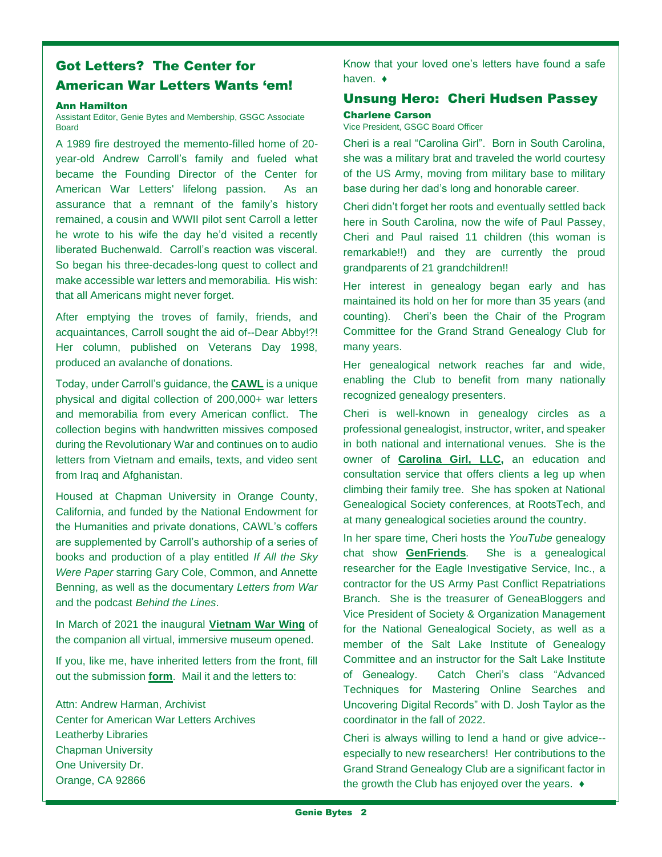# Got Letters? The Center for American War Letters Wants 'em!

#### Ann Hamilton

Assistant Editor, Genie Bytes and Membership, GSGC Associate Board

A 1989 fire destroyed the memento-filled home of 20 year-old Andrew Carroll's family and fueled what became the Founding Director of the Center for American War Letters' lifelong passion. As an assurance that a remnant of the family's history remained, a cousin and WWII pilot sent Carroll a letter he wrote to his wife the day he'd visited a recently liberated Buchenwald. Carroll's reaction was visceral. So began his three-decades-long quest to collect and make accessible war letters and memorabilia. His wish: that all Americans might never forget.

After emptying the troves of family, friends, and acquaintances, Carroll sought the aid of--Dear Abby!?! Her column, published on Veterans Day 1998, produced an avalanche of donations.

Today, under Carroll's guidance, the **[CAWL](https://www.chapman.edu/research/institutes-and-centers/cawl/index.aspx)** is a unique physical and digital collection of 200,000+ war letters and memorabilia from every American conflict. The collection begins with handwritten missives composed during the Revolutionary War and continues on to audio letters from Vietnam and emails, texts, and video sent from Iraq and Afghanistan.

Housed at Chapman University in Orange County, California, and funded by the National Endowment for the Humanities and private donations, CAWL's coffers are supplemented by Carroll's authorship of a series of books and production of a play entitled *If All the Sky Were Paper* starring Gary Cole, Common, and Annette Benning, as well as the documentary *Letters from War*  and the podcast *Behind the Lines*.

In March of 2021 the inaugural **[Vietnam War Wing](https://world.treasured.ca/player/MuseumOfAmericanWarLetters)** of the companion all virtual, immersive museum opened.

If you, like me, have inherited letters from the front, fill out the submission **[form](https://www.chapman.edu/research/institutes-and-centers/cawl/_files/cawl-donation-form.pdf)**. Mail it and the letters to:

Attn: Andrew Harman, Archivist Center for American War Letters Archives Leatherby Libraries Chapman University One University Dr. Orange, CA 92866

Know that your loved one's letters have found a safe haven. ♦

# Unsung Hero: Cheri Hudsen Passey Charlene Carson

Vice President, GSGC Board Officer

Cheri is a real "Carolina Girl". Born in South Carolina, she was a military brat and traveled the world courtesy of the US Army, moving from military base to military base during her dad's long and honorable career.

Cheri didn't forget her roots and eventually settled back here in South Carolina, now the wife of Paul Passey, Cheri and Paul raised 11 children (this woman is remarkable!!) and they are currently the proud grandparents of 21 grandchildren!!

Her interest in genealogy began early and has maintained its hold on her for more than 35 years (and counting). Cheri's been the Chair of the Program Committee for the Grand Strand Genealogy Club for many years.

Her genealogical network reaches far and wide, enabling the Club to benefit from many nationally recognized genealogy presenters.

Cheri is well-known in genealogy circles as a professional genealogist, instructor, writer, and speaker in both national and international venues. She is the owner of **[Carolina Girl, LLC,](https://www.carolinagirlgenealogy.com/p/genealogy-1-on.html)** an education and consultation service that offers clients a leg up when climbing their family tree. She has spoken at National Genealogical Society conferences, at RootsTech, and at many genealogical societies around the country.

In her spare time, Cheri hosts the *YouTube* genealogy chat show **[GenFriends](https://www.youtube.com/user/CheriPass?app=desktop)***.* She is a genealogical researcher for the Eagle Investigative Service, Inc., a contractor for the US Army Past Conflict Repatriations Branch. She is the treasurer of GeneaBloggers and Vice President of Society & Organization Management for the National Genealogical Society, as well as a member of the Salt Lake Institute of Genealogy Committee and an instructor for the Salt Lake Institute of Genealogy. Catch Cheri's class "Advanced Techniques for Mastering Online Searches and Uncovering Digital Records" with D. Josh Taylor as the coordinator in the fall of 2022.

Cheri is always willing to lend a hand or give advice- especially to new researchers! Her contributions to the Grand Strand Genealogy Club are a significant factor in the growth the Club has enjoyed over the years. ♦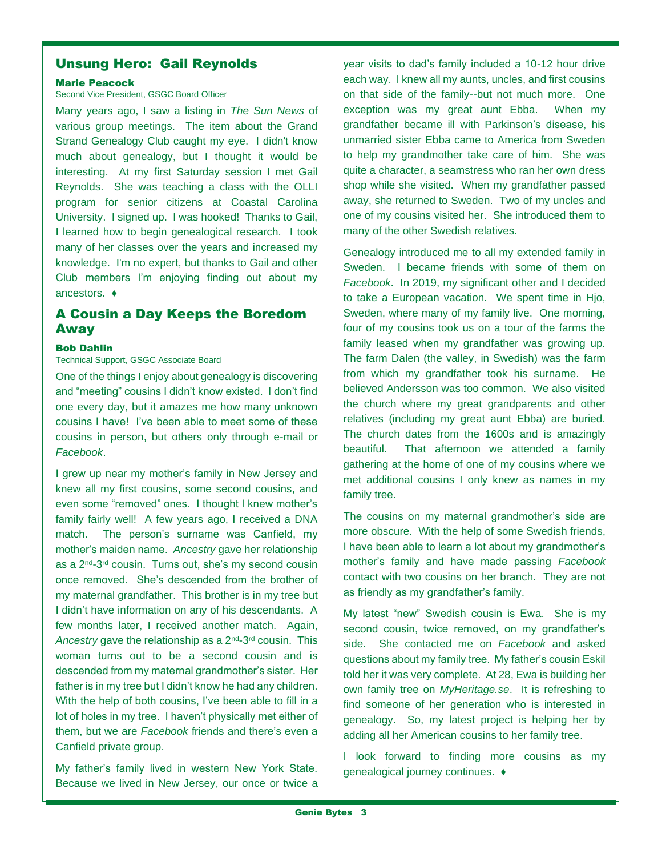# Unsung Hero: Gail Reynolds

#### Marie Peacock

#### Second Vice President, GSGC Board Officer

Many years ago, I saw a listing in *The Sun News* of various group meetings. The item about the Grand Strand Genealogy Club caught my eye. I didn't know much about genealogy, but I thought it would be interesting. At my first Saturday session I met Gail Reynolds. She was teaching a class with the OLLI program for senior citizens at Coastal Carolina University. I signed up. I was hooked! Thanks to Gail, I learned how to begin genealogical research. I took many of her classes over the years and increased my knowledge. I'm no expert, but thanks to Gail and other Club members I'm enjoying finding out about my ancestors. ♦

# A Cousin a Day Keeps the Boredom Away

#### Bob Dahlin

# Technical Support, GSGC Associate Board

One of the things I enjoy about genealogy is discovering and "meeting" cousins I didn't know existed. I don't find one every day, but it amazes me how many unknown cousins I have! I've been able to meet some of these cousins in person, but others only through e-mail or *Facebook*.

I grew up near my mother's family in New Jersey and knew all my first cousins, some second cousins, and even some "removed" ones. I thought I knew mother's family fairly well! A few years ago, I received a DNA match. The person's surname was Canfield, my mother's maiden name. *Ancestry* gave her relationship as a 2<sup>nd</sup>-3<sup>rd</sup> cousin. Turns out, she's my second cousin once removed. She's descended from the brother of my maternal grandfather. This brother is in my tree but I didn't have information on any of his descendants. A few months later, I received another match. Again, Ancestry gave the relationship as a 2<sup>nd</sup>-3<sup>rd</sup> cousin. This woman turns out to be a second cousin and is descended from my maternal grandmother's sister. Her father is in my tree but I didn't know he had any children. With the help of both cousins, I've been able to fill in a lot of holes in my tree. I haven't physically met either of them, but we are *Facebook* friends and there's even a Canfield private group.

My father's family lived in western New York State. Because we lived in New Jersey, our once or twice a year visits to dad's family included a 10-12 hour drive each way. I knew all my aunts, uncles, and first cousins on that side of the family--but not much more. One exception was my great aunt Ebba. When my grandfather became ill with Parkinson's disease, his unmarried sister Ebba came to America from Sweden to help my grandmother take care of him. She was quite a character, a seamstress who ran her own dress shop while she visited. When my grandfather passed away, she returned to Sweden. Two of my uncles and one of my cousins visited her. She introduced them to many of the other Swedish relatives.

Genealogy introduced me to all my extended family in Sweden. I became friends with some of them on *Facebook*. In 2019, my significant other and I decided to take a European vacation. We spent time in Hjo, Sweden, where many of my family live. One morning, four of my cousins took us on a tour of the farms the family leased when my grandfather was growing up. The farm Dalen (the valley, in Swedish) was the farm from which my grandfather took his surname. He believed Andersson was too common. We also visited the church where my great grandparents and other relatives (including my great aunt Ebba) are buried. The church dates from the 1600s and is amazingly beautiful. That afternoon we attended a family gathering at the home of one of my cousins where we met additional cousins I only knew as names in my family tree.

The cousins on my maternal grandmother's side are more obscure. With the help of some Swedish friends, I have been able to learn a lot about my grandmother's mother's family and have made passing *Facebook* contact with two cousins on her branch. They are not as friendly as my grandfather's family.

My latest "new" Swedish cousin is Ewa. She is my second cousin, twice removed, on my grandfather's side. She contacted me on *Facebook* and asked questions about my family tree. My father's cousin Eskil told her it was very complete. At 28, Ewa is building her own family tree on *MyHeritage.se*. It is refreshing to find someone of her generation who is interested in genealogy. So, my latest project is helping her by adding all her American cousins to her family tree.

I look forward to finding more cousins as my genealogical journey continues. ♦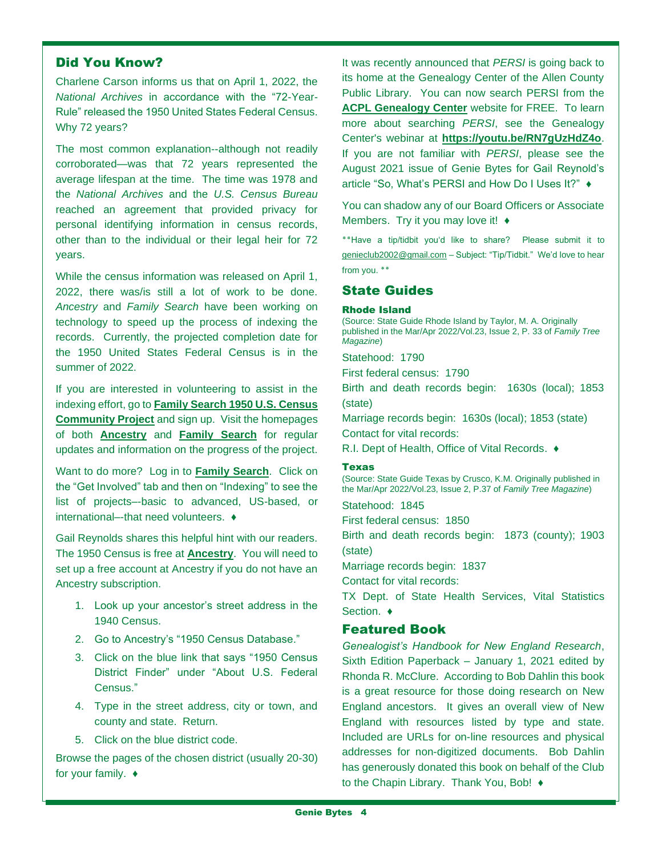# Did You Know?

Charlene Carson informs us that on April 1, 2022, the *National Archives* in accordance with the "72-Year-Rule" released the 1950 United States Federal Census. Why 72 years?

The most common explanation--although not readily corroborated—was that 72 years represented the average lifespan at the time. The time was 1978 and the *National Archives* and the *U.S. Census Bureau* reached an agreement that provided privacy for personal identifying information in census records, other than to the individual or their legal heir for 72 years.

While the census information was released on April 1, 2022, there was/is still a lot of work to be done. *Ancestry* and *Family Search* have been working on technology to speed up the process of indexing the records. Currently, the projected completion date for the 1950 United States Federal Census is in the summer of 2022.

If you are interested in volunteering to assist in the indexing effort, go to **[Family Search 1950 U.S. Census](https://www.familysearch.org/1950census/)  [Community Project](https://www.familysearch.org/1950census/)** and sign up. Visit the homepages of both **[Ancestry](https://www.ancestry.com/)** and **[Family Search](https://www.familysearch.org/en/)** for regular updates and information on the progress of the project.

Want to do more? Log in to **[Family Search](https://www.familysearch.org/en/)**. Click on the "Get Involved" tab and then on "Indexing" to see the list of projects–-basic to advanced, US-based, or international–-that need volunteers. ♦

Gail Reynolds shares this helpful hint with our readers. The 1950 Census is free at **[Ancestry](https://www.ancestry.com/)**. You will need to set up a free account at Ancestry if you do not have an Ancestry subscription.

- 1. Look up your ancestor's street address in the 1940 Census.
- 2. Go to Ancestry's "1950 Census Database."
- 3. Click on the blue link that says "1950 Census District Finder" under "About U.S. Federal Census."
- 4. Type in the street address, city or town, and county and state. Return.
- 5. Click on the blue district code.

Browse the pages of the chosen district (usually 20-30) for your family. ♦

It was recently announced that *PERSI* is going back to its home at the Genealogy Center of the Allen County Public Library. You can now search PERSI from the **[ACPL Genealogy Center](https://acpl.lib.in.us/genealogy)** website for FREE. To learn more about searching *PERSI*, see the Genealogy Center's webinar at **<https://youtu.be/RN7gUzHdZ4o>**. If you are not familiar with *PERSI*, please see the August 2021 issue of Genie Bytes for Gail Reynold's article "So, What's PERSI and How Do I Uses It?" ♦

You can shadow any of our Board Officers or Associate Members. Try it you may love it! ♦

**٭٭**Have a tip/tidbit you'd like to share? Please submit it to [genieclub2002@gmail.com](mailto:genieclub2002@gmail.com) – Subject: "Tip/Tidbit." We'd love to hear from you. ٭٭

# State Guides

#### Rhode Island

(Source: State Guide Rhode Island by Taylor, M. A. Originally published in the Mar/Apr 2022/Vol.23, Issue 2, P. 33 of *Family Tree Magazine*)

Statehood: 1790

First federal census: 1790

Birth and death records begin: 1630s (local); 1853 (state)

Marriage records begin: 1630s (local); 1853 (state) Contact for vital records:

R.I. Dept of Health, Office of Vital Records. ♦

#### Texas

(Source: State Guide Texas by Crusco, K.M. Originally published in the Mar/Apr 2022/Vol.23, Issue 2, P.37 of *Family Tree Magazine*)

Statehood: 1845

First federal census: 1850

Birth and death records begin: 1873 (county); 1903 (state)

Marriage records begin: 1837

Contact for vital records:

TX Dept. of State Health Services, Vital Statistics Section. ♦

# Featured Book

*Genealogist's Handbook for New England Research*, Sixth Edition Paperback – January 1, 2021 edited by Rhonda R. McClure. According to Bob Dahlin this book is a great resource for those doing research on New England ancestors. It gives an overall view of New England with resources listed by type and state. Included are URLs for on-line resources and physical addresses for non-digitized documents. Bob Dahlin has generously donated this book on behalf of the Club to the Chapin Library. Thank You, Bob! ♦